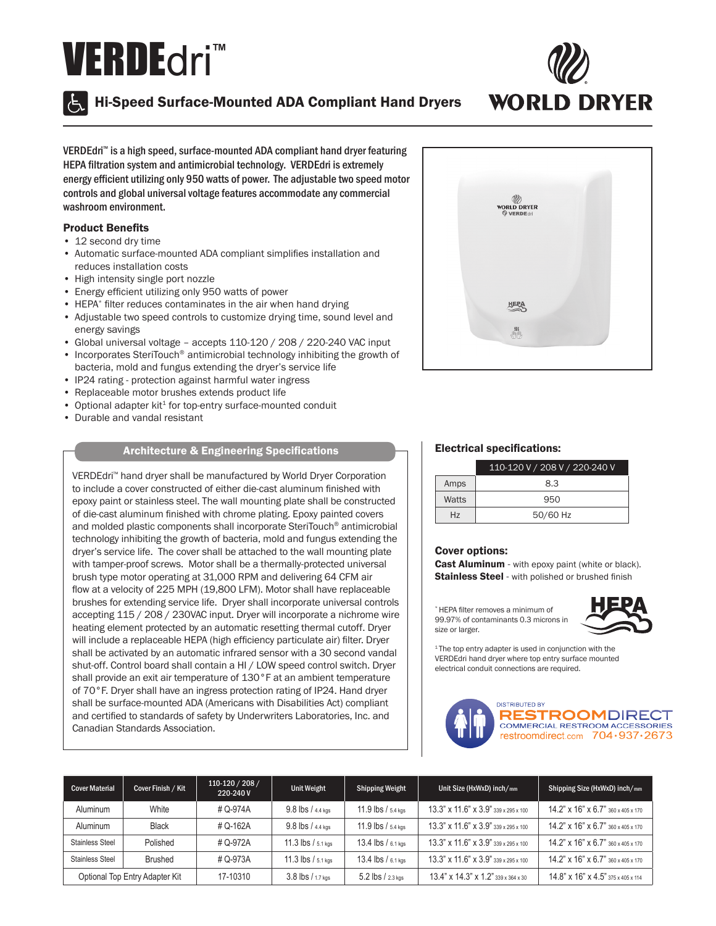# VERDEdri™



Hi-Speed Surface-Mounted ADA Compliant Hand Dryers



VERDEdri™ is a high speed, surface-mounted ADA compliant hand dryer featuring HEPA filtration system and antimicrobial technology. VERDEdri is extremely energy efficient utilizing only 950 watts of power. The adjustable two speed motor controls and global universal voltage features accommodate any commercial washroom environment.

## Product Benefits

- 12 second dry time
- Automatic surface-mounted ADA compliant simplifies installation and reduces installation costs
- High intensity single port nozzle
- Energy efficient utilizing only 950 watts of power
- HEPA\* filter reduces contaminates in the air when hand drying
- Adjustable two speed controls to customize drying time, sound level and energy savings
- Global universal voltage accepts 110-120 / 208 / 220-240 VAC input
- Incorporates SteriTouch® antimicrobial technology inhibiting the growth of bacteria, mold and fungus extending the dryer's service life
- IP24 rating protection against harmful water ingress
- Replaceable motor brushes extends product life
- $\bullet$  Optional adapter kit<sup>1</sup> for top-entry surface-mounted conduit
- Durable and vandal resistant

## Architecture & Engineering Specifications

VERDEdri™ hand dryer shall be manufactured by World Dryer Corporation to include a cover constructed of either die-cast aluminum finished with epoxy paint or stainless steel. The wall mounting plate shall be constructed of die-cast aluminum finished with chrome plating. Epoxy painted covers and molded plastic components shall incorporate SteriTouch® antimicrobial technology inhibiting the growth of bacteria, mold and fungus extending the dryer's service life. The cover shall be attached to the wall mounting plate with tamper-proof screws. Motor shall be a thermally-protected universal brush type motor operating at 31,000 RPM and delivering 64 CFM air flow at a velocity of 225 MPH (19,800 LFM). Motor shall have replaceable brushes for extending service life. Dryer shall incorporate universal controls accepting 115 / 208 / 230VAC input. Dryer will incorporate a nichrome wire heating element protected by an automatic resetting thermal cutoff. Dryer will include a replaceable HEPA (high efficiency particulate air) filter. Dryer shall be activated by an automatic infrared sensor with a 30 second vandal shut-off. Control board shall contain a HI / LOW speed control switch. Dryer shall provide an exit air temperature of 130°F at an ambient temperature of 70°F. Dryer shall have an ingress protection rating of IP24. Hand dryer shall be surface-mounted ADA (Americans with Disabilities Act) compliant and certified to standards of safety by Underwriters Laboratories, Inc. and Canadian Standards Association.



### Electrical specifications:

|                | 110-120 V / 208 V / 220-240 V |  |
|----------------|-------------------------------|--|
| Amps           | 8.3                           |  |
| Watts          | 950                           |  |
| H <sub>7</sub> | 50/60 Hz                      |  |

#### Cover options:

Cast Aluminum - with epoxy paint (white or black). **Stainless Steel** - with polished or brushed finish

\* HEPA filter removes a minimum of 99.97% of contaminants 0.3 microns in size or larger.



<sup>1</sup>The top entry adapter is used in conjunction with the VERDEdri hand dryer where top entry surface mounted electrical conduit connections are required.



| <b>Cover Material</b>          | Cover Finish / Kit | 110-120 / 208 /<br>220-240 V | Unit Weight            | Shipping Weight        | Unit Size (HxWxD) inch/mm                    | Shipping Size (HxWxD) inch/mm                        |
|--------------------------------|--------------------|------------------------------|------------------------|------------------------|----------------------------------------------|------------------------------------------------------|
| Aluminum                       | White              | # Q-974A                     | $9.8$ lbs $/4.4$ kgs   | $11.9$ lbs $/5.4$ kgs  | 13.3" x 11.6" x 3.9" 339 x 295 x 100         | $14.2$ " x $16$ " x 6.7" $360 \times 405 \times 170$ |
| Aluminum                       | <b>Black</b>       | # Q-162A                     | $9.8$ lbs $/4.4$ kgs   | $11.9$ lbs $/$ 5.4 kgs | 13.3" x 11.6" x 3.9" 339 x 295 x 100         | $14.2$ " x $16$ " x 6.7" $360 \times 405 \times 170$ |
| <b>Stainless Steel</b>         | Polished           | # Q-972A                     | $11.3$ lbs $/$ 5.1 kgs | 13.4 lbs / 6.1 kgs     | 13.3" x 11.6" x 3.9" 339 x 295 x 100         | 14.2" x 16" x 6.7" 360 x 405 x 170                   |
| <b>Stainless Steel</b>         | Brushed            | # Q-973A                     | $11.3$ lbs $/5.1$ kgs  | 13.4 lbs / 6.1 kgs     | 13.3" x 11.6" x 3.9" 339 x 295 x 100         | 14.2" x 16" x 6.7" 360 x 405 x 170                   |
| Optional Top Entry Adapter Kit |                    | 17-10310                     | 3.8 lbs / 1.7 kgs      | 5.2 lbs / 2.3 kgs      | $13.4$ " x $14.3$ " x $1.2$ " 339 x 364 x 30 | $14.8$ " x $16$ " x $4.5$ " 375 x 405 x 114          |